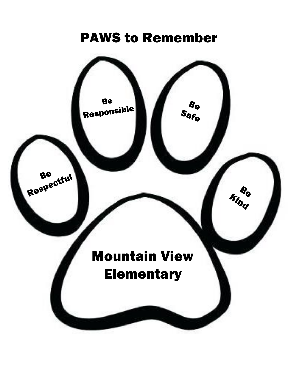# PAWS to Remember

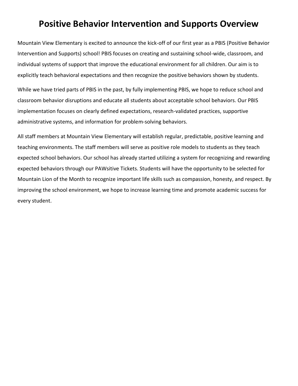# **Positive Behavior Intervention and Supports Overview**

Mountain View Elementary is excited to announce the kick-off of our first year as a PBIS (Positive Behavior Intervention and Supports) school! PBIS focuses on creating and sustaining school-wide, classroom, and individual systems of support that improve the educational environment for all children. Our aim is to explicitly teach behavioral expectations and then recognize the positive behaviors shown by students.

While we have tried parts of PBIS in the past, by fully implementing PBIS, we hope to reduce school and classroom behavior disruptions and educate all students about acceptable school behaviors. Our PBIS implementation focuses on clearly defined expectations, research-validated practices, supportive administrative systems, and information for problem-solving behaviors.

All staff members at Mountain View Elementary will establish regular, predictable, positive learning and teaching environments. The staff members will serve as positive role models to students as they teach expected school behaviors. Our school has already started utilizing a system for recognizing and rewarding expected behaviors through our PAWsitive Tickets. Students will have the opportunity to be selected for Mountain Lion of the Month to recognize important life skills such as compassion, honesty, and respect. By improving the school environment, we hope to increase learning time and promote academic success for every student.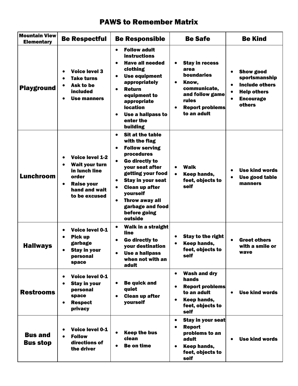### PAWS to Remember Matrix

| <b>Mountain View</b><br><b>Elementary</b> | <b>Be Respectful</b>                                                                                                                                | <b>Be Responsible</b>                                                                                                                                                                                                                                                                                 | <b>Be Safe</b>                                                                                                                                                                  | <b>Be Kind</b>                                                                                                                                  |
|-------------------------------------------|-----------------------------------------------------------------------------------------------------------------------------------------------------|-------------------------------------------------------------------------------------------------------------------------------------------------------------------------------------------------------------------------------------------------------------------------------------------------------|---------------------------------------------------------------------------------------------------------------------------------------------------------------------------------|-------------------------------------------------------------------------------------------------------------------------------------------------|
| <b>Playground</b>                         | <b>Voice level 3</b><br><b>Take turns</b><br>Ask to be<br><b>included</b><br>Use manners                                                            | <b>Follow adult</b><br>$\bullet$<br><b>instructions</b><br><b>Have all needed</b><br>clothing<br><b>Use equipment</b><br>$\bullet$<br>appropriately<br><b>Return</b><br>equipment to<br>appropriate<br><b>location</b><br>Use a hallpass to<br>$\bullet$<br>enter the<br>building                     | <b>Stay in recess</b><br>$\bullet$<br>area<br><b>boundaries</b><br>Know,<br>$\bullet$<br>communicate,<br>and follow game<br>rules<br><b>Report problems</b><br>٠<br>to an adult | <b>Show good</b><br>sportsmanship<br><b>Include others</b><br>$\bullet$<br><b>Help others</b><br>$\bullet$<br><b>Encourage</b><br><b>others</b> |
| <b>Lunchroom</b>                          | <b>Voice level 1-2</b><br>Wait your turn<br>$\bullet$<br>in lunch line<br>order<br><b>Raise your</b><br>$\bullet$<br>hand and wait<br>to be excused | <b>Sit at the table</b><br>$\bullet$<br>with the flag<br><b>Follow serving</b><br>procedures<br>Go directly to<br>$\bullet$<br>your seat after<br>getting your food<br><b>Stay in your seat</b><br><b>Clean up after</b><br>yourself<br>Throw away all<br>garbage and food<br>before going<br>outside | <b>Walk</b><br>$\bullet$<br>Keep hands,<br>$\bullet$<br>feet, objects to<br>self                                                                                                | <b>Use kind words</b><br>Use good table<br>$\bullet$<br>manners                                                                                 |
| <b>Hallways</b>                           | Voice level 0-1<br><b>Pick up</b><br>garbage<br><b>Stay in your</b><br>personal<br>space                                                            | <b>Walk in a straight</b><br>$\bullet$<br>line<br>Go directly to<br>your destination<br><b>Use a hallpass</b><br>when not with an<br>adult                                                                                                                                                            | <b>Stay to the right</b><br>$\bullet$<br>Keep hands,<br>feet, objects to<br>self                                                                                                | <b>Greet others</b><br>with a smile or<br>wave                                                                                                  |
| <b>Restrooms</b>                          | <b>Voice level 0-1</b><br>$\bullet$<br><b>Stay in your</b><br>personal<br>space<br><b>Respect</b><br>privacy                                        | <b>Be quick and</b><br>quiet<br><b>Clean up after</b><br>yourself                                                                                                                                                                                                                                     | <b>Wash and dry</b><br>$\bullet$<br>hands<br><b>Report problems</b><br>$\bullet$<br>to an adult<br>Keep hands,<br>$\bullet$<br>feet, objects to<br>self                         | <b>Use kind words</b><br>$\bullet$                                                                                                              |
| <b>Bus and</b><br><b>Bus stop</b>         | Voice level 0-1<br><b>Follow</b><br>directions of<br>the driver                                                                                     | <b>Keep the bus</b><br>clean<br><b>Be on time</b>                                                                                                                                                                                                                                                     | <b>Stay in your seat</b><br>٠<br><b>Report</b><br>$\bullet$<br>problems to an<br>adult<br>Keep hands,<br>$\bullet$<br>feet, objects to<br>self                                  | <b>Use kind words</b>                                                                                                                           |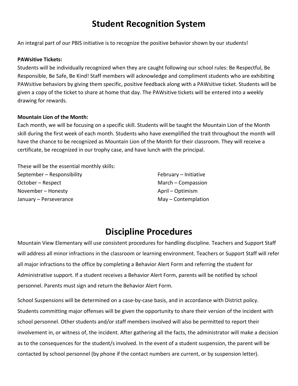# **Student Recognition System**

An integral part of our PBIS initiative is to recognize the positive behavior shown by our students!

#### **PAWsitive Tickets:**

Students will be individually recognized when they are caught following our school rules: Be Respectful, Be Responsible, Be Safe, Be Kind! Staff members will acknowledge and compliment students who are exhibiting PAWsitive behaviors by giving them specific, positive feedback along with a PAWsitive ticket. Students will be given a copy of the ticket to share at home that day. The PAWsitive tickets will be entered into a weekly drawing for rewards.

#### **Mountain Lion of the Month:**

Each month, we will be focusing on a specific skill. Students will be taught the Mountain Lion of the Month skill during the first week of each month. Students who have exemplified the trait throughout the month will have the chance to be recognized as Mountain Lion of the Month for their classroom. They will receive a certificate, be recognized in our trophy case, and have lunch with the principal.

These will be the essential monthly skills: September – Responsibility October – Respect November – Honesty January – Perseverance

February – Initiative March – Compassion April – Optimism May – Contemplation

## **Discipline Procedures**

Mountain View Elementary will use consistent procedures for handling discipline. Teachers and Support Staff will address all minor infractions in the classroom or learning environment. Teachers or Support Staff will refer all major infractions to the office by completing a Behavior Alert Form and referring the student for Administrative support. If a student receives a Behavior Alert Form, parents will be notified by school personnel. Parents must sign and return the Behavior Alert Form.

School Suspensions will be determined on a case-by-case basis, and in accordance with District policy. Students committing major offenses will be given the opportunity to share their version of the incident with school personnel. Other students and/or staff members involved will also be permitted to report their involvement in, or witness of, the incident. After gathering all the facts, the administrator will make a decision as to the consequences for the student/s involved. In the event of a student suspension, the parent will be contacted by school personnel (by phone if the contact numbers are current, or by suspension letter).